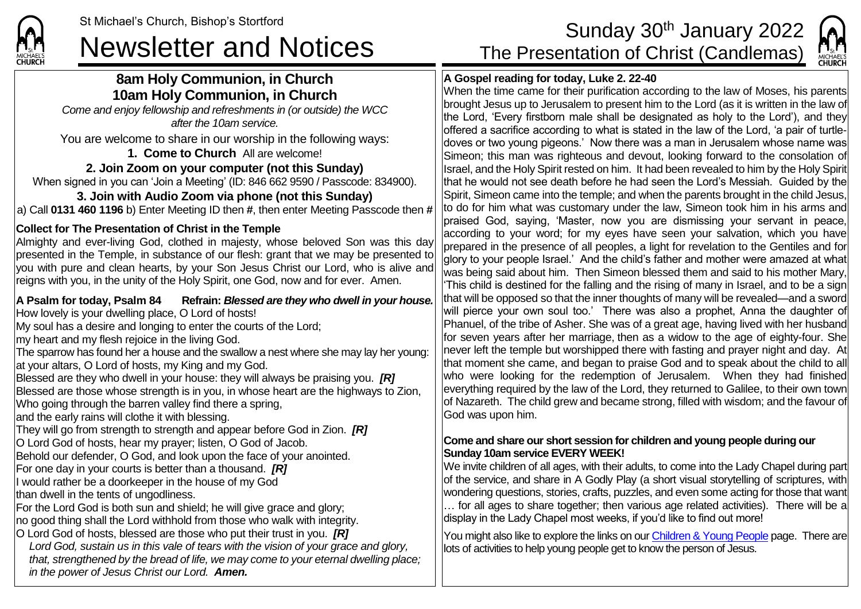

# **8am Holy Communion, in Church 10am Holy Communion, in Church**

*Come and enjoy fellowship and refreshments in (or outside) the WCC after the 10am service.*

You are welcome to share in our worship in the following ways:

**1. Come to Church** All are welcome!

# **2. Join Zoom on your computer (not this Sunday)**

When signed in you can 'Join a Meeting' (ID: 846 662 9590 / Passcode: 834900).

# **3. Join with Audio Zoom via phone (not this Sunday)**

a) Call **0131 460 1196** b) Enter Meeting ID then **#**, then enter Meeting Passcode then **#**

## **Collect for The Presentation of Christ in the Temple**

Almighty and ever-living God, clothed in majesty, whose beloved Son was this day presented in the Temple, in substance of our flesh: grant that we may be presented to you with pure and clean hearts, by your Son Jesus Christ our Lord, who is alive and reigns with you, in the unity of the Holy Spirit, one God, now and for ever. Amen.

**A Psalm for today, Psalm 84 Refrain:** *Blessed are they who dwell in your house.* How lovely is your dwelling place, O Lord of hosts!

My soul has a desire and longing to enter the courts of the Lord;

my heart and my flesh rejoice in the living God.

The sparrow has found her a house and the swallow a nest where she may lay her young: at your altars, O Lord of hosts, my King and my God.

Blessed are they who dwell in your house: they will always be praising you. *[R]*

Blessed are those whose strength is in you, in whose heart are the highways to Zion,

Who going through the barren valley find there a spring,

and the early rains will clothe it with blessing.

They will go from strength to strength and appear before God in Zion. *[R]*

O Lord God of hosts, hear my prayer; listen, O God of Jacob.

Behold our defender, O God, and look upon the face of your anointed.

For one day in your courts is better than a thousand. *[R]*

I would rather be a doorkeeper in the house of my God

than dwell in the tents of ungodliness.

For the Lord God is both sun and shield; he will give grace and glory;

no good thing shall the Lord withhold from those who walk with integrity.

O Lord God of hosts, blessed are those who put their trust in you. *[R] Lord God, sustain us in this vale of tears with the vision of your grace and glory, that, strengthened by the bread of life, we may come to your eternal dwelling place; in the power of Jesus Christ our Lord. Amen.*

# St Michael's Church, Bishop's Stortford Sunday 30<sup>th</sup> January 2022<br>Newsletter and Notices The Presentation of Christ (Candlemas)



# **A Gospel reading for today, Luke 2. 22-40**

When the time came for their purification according to the law of Moses, his parents brought Jesus up to Jerusalem to present him to the Lord (as it is written in the law of the Lord, 'Every firstborn male shall be designated as holy to the Lord'), and they offered a sacrifice according to what is stated in the law of the Lord, 'a pair of turtledoves or two young pigeons.' Now there was a man in Jerusalem whose name was Simeon; this man was righteous and devout, looking forward to the consolation of Israel, and the Holy Spirit rested on him. It had been revealed to him by the Holy Spirit that he would not see death before he had seen the Lord's Messiah. Guided by the Spirit, Simeon came into the temple; and when the parents brought in the child Jesus, to do for him what was customary under the law, Simeon took him in his arms and praised God, saying, 'Master, now you are dismissing your servant in peace, according to your word; for my eyes have seen your salvation, which you have prepared in the presence of all peoples, a light for revelation to the Gentiles and for glory to your people Israel.' And the child's father and mother were amazed at what was being said about him. Then Simeon blessed them and said to his mother Mary, 'This child is destined for the falling and the rising of many in Israel, and to be a sign that will be opposed so that the inner thoughts of many will be revealed—and a sword will pierce your own soul too.' There was also a prophet, Anna the daughter of Phanuel, of the tribe of Asher. She was of a great age, having lived with her husband for seven years after her marriage, then as a widow to the age of eighty-four. She never left the temple but worshipped there with fasting and prayer night and day. At that moment she came, and began to praise God and to speak about the child to all who were looking for the redemption of Jerusalem. When they had finished everything required by the law of the Lord, they returned to Galilee, to their own town of Nazareth. The child grew and became strong, filled with wisdom; and the favour of God was upon him.

## **Come and share our short session for children and young people during our Sunday 10am service EVERY WEEK!**

We invite children of all ages, with their adults, to come into the Lady Chapel during part of the service, and share in A Godly Play (a short visual storytelling of scriptures, with wondering questions, stories, crafts, puzzles, and even some acting for those that want

… for all ages to share together; then various age related activities). There will be a display in the Lady Chapel most weeks, if you'd like to find out more!

You might also like to explore the links on ou[r Children & Young People](https://saintmichaelweb.org.uk/Groups/310496/Children_and_Young.aspx) page. There are lots of activities to help young people get to know the person of Jesus.